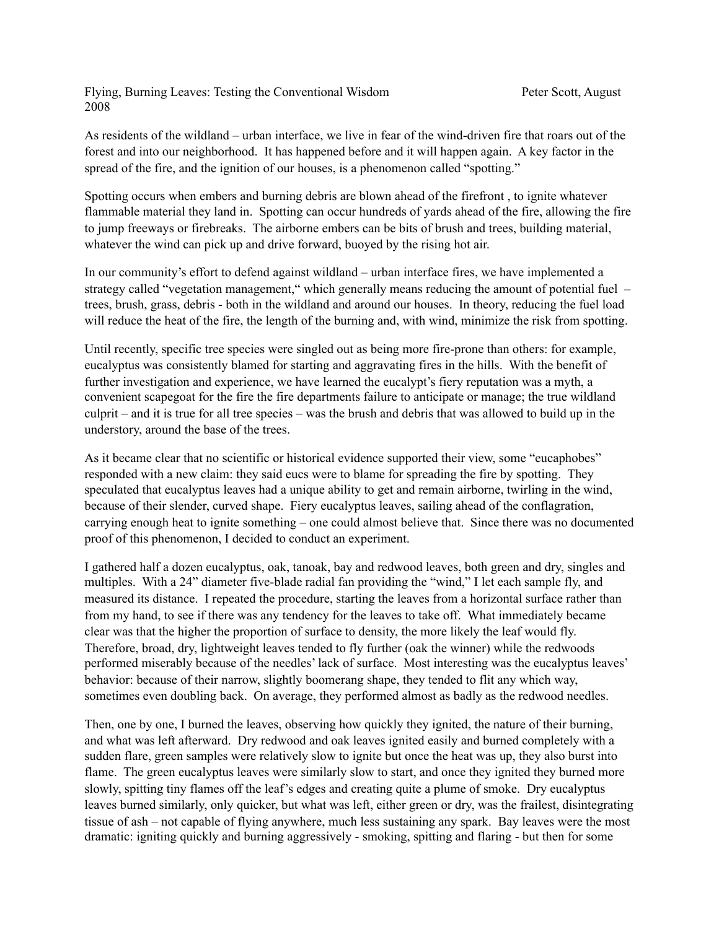Flying, Burning Leaves: Testing the Conventional Wisdom Peter Scott, August 2008

As residents of the wildland – urban interface, we live in fear of the wind-driven fire that roars out of the forest and into our neighborhood. It has happened before and it will happen again. A key factor in the spread of the fire, and the ignition of our houses, is a phenomenon called "spotting."

Spotting occurs when embers and burning debris are blown ahead of the firefront , to ignite whatever flammable material they land in. Spotting can occur hundreds of yards ahead of the fire, allowing the fire to jump freeways or firebreaks. The airborne embers can be bits of brush and trees, building material, whatever the wind can pick up and drive forward, buoyed by the rising hot air.

In our community's effort to defend against wildland – urban interface fires, we have implemented a strategy called "vegetation management," which generally means reducing the amount of potential fuel – trees, brush, grass, debris - both in the wildland and around our houses. In theory, reducing the fuel load will reduce the heat of the fire, the length of the burning and, with wind, minimize the risk from spotting.

Until recently, specific tree species were singled out as being more fire-prone than others: for example, eucalyptus was consistently blamed for starting and aggravating fires in the hills. With the benefit of further investigation and experience, we have learned the eucalypt's fiery reputation was a myth, a convenient scapegoat for the fire the fire departments failure to anticipate or manage; the true wildland culprit – and it is true for all tree species – was the brush and debris that was allowed to build up in the understory, around the base of the trees.

As it became clear that no scientific or historical evidence supported their view, some "eucaphobes" responded with a new claim: they said eucs were to blame for spreading the fire by spotting. They speculated that eucalyptus leaves had a unique ability to get and remain airborne, twirling in the wind, because of their slender, curved shape. Fiery eucalyptus leaves, sailing ahead of the conflagration, carrying enough heat to ignite something – one could almost believe that. Since there was no documented proof of this phenomenon, I decided to conduct an experiment.

I gathered half a dozen eucalyptus, oak, tanoak, bay and redwood leaves, both green and dry, singles and multiples. With a 24" diameter five-blade radial fan providing the "wind," I let each sample fly, and measured its distance. I repeated the procedure, starting the leaves from a horizontal surface rather than from my hand, to see if there was any tendency for the leaves to take off. What immediately became clear was that the higher the proportion of surface to density, the more likely the leaf would fly. Therefore, broad, dry, lightweight leaves tended to fly further (oak the winner) while the redwoods performed miserably because of the needles' lack of surface. Most interesting was the eucalyptus leaves' behavior: because of their narrow, slightly boomerang shape, they tended to flit any which way, sometimes even doubling back. On average, they performed almost as badly as the redwood needles.

Then, one by one, I burned the leaves, observing how quickly they ignited, the nature of their burning, and what was left afterward. Dry redwood and oak leaves ignited easily and burned completely with a sudden flare, green samples were relatively slow to ignite but once the heat was up, they also burst into flame. The green eucalyptus leaves were similarly slow to start, and once they ignited they burned more slowly, spitting tiny flames off the leaf's edges and creating quite a plume of smoke. Dry eucalyptus leaves burned similarly, only quicker, but what was left, either green or dry, was the frailest, disintegrating tissue of ash – not capable of flying anywhere, much less sustaining any spark. Bay leaves were the most dramatic: igniting quickly and burning aggressively - smoking, spitting and flaring - but then for some